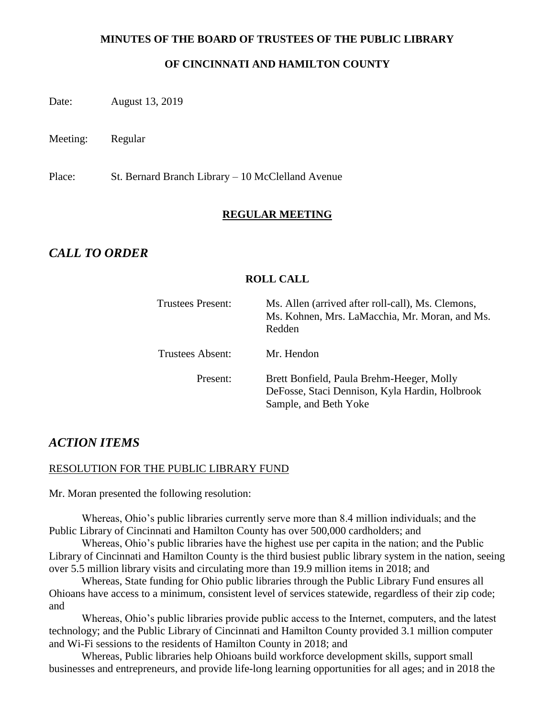#### **MINUTES OF THE BOARD OF TRUSTEES OF THE PUBLIC LIBRARY**

#### **OF CINCINNATI AND HAMILTON COUNTY**

Date: August 13, 2019

Meeting: Regular

Place: St. Bernard Branch Library – 10 McClelland Avenue

#### **REGULAR MEETING**

# *CALL TO ORDER*

#### **ROLL CALL**

| <b>Trustees Present:</b> | Ms. Allen (arrived after roll-call), Ms. Clemons,<br>Ms. Kohnen, Mrs. LaMacchia, Mr. Moran, and Ms.<br>Redden        |
|--------------------------|----------------------------------------------------------------------------------------------------------------------|
| Trustees Absent:         | Mr. Hendon                                                                                                           |
| Present:                 | Brett Bonfield, Paula Brehm-Heeger, Molly<br>DeFosse, Staci Dennison, Kyla Hardin, Holbrook<br>Sample, and Beth Yoke |

### *ACTION ITEMS*

#### RESOLUTION FOR THE PUBLIC LIBRARY FUND

Mr. Moran presented the following resolution:

Whereas, Ohio's public libraries currently serve more than 8.4 million individuals; and the Public Library of Cincinnati and Hamilton County has over 500,000 cardholders; and

Whereas, Ohio's public libraries have the highest use per capita in the nation; and the Public Library of Cincinnati and Hamilton County is the third busiest public library system in the nation, seeing over 5.5 million library visits and circulating more than 19.9 million items in 2018; and

Whereas, State funding for Ohio public libraries through the Public Library Fund ensures all Ohioans have access to a minimum, consistent level of services statewide, regardless of their zip code; and

Whereas, Ohio's public libraries provide public access to the Internet, computers, and the latest technology; and the Public Library of Cincinnati and Hamilton County provided 3.1 million computer and Wi-Fi sessions to the residents of Hamilton County in 2018; and

Whereas, Public libraries help Ohioans build workforce development skills, support small businesses and entrepreneurs, and provide life-long learning opportunities for all ages; and in 2018 the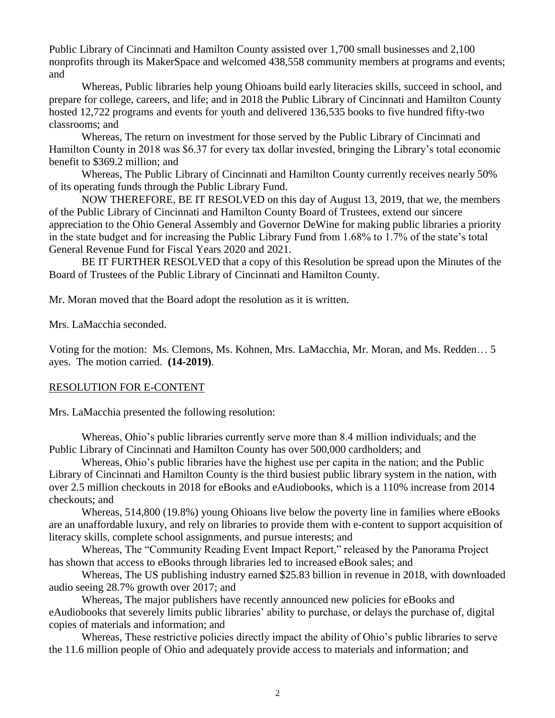Public Library of Cincinnati and Hamilton County assisted over 1,700 small businesses and 2,100 nonprofits through its MakerSpace and welcomed 438,558 community members at programs and events; and

Whereas, Public libraries help young Ohioans build early literacies skills, succeed in school, and prepare for college, careers, and life; and in 2018 the Public Library of Cincinnati and Hamilton County hosted 12,722 programs and events for youth and delivered 136,535 books to five hundred fifty-two classrooms; and

Whereas, The return on investment for those served by the Public Library of Cincinnati and Hamilton County in 2018 was \$6.37 for every tax dollar invested, bringing the Library's total economic benefit to \$369.2 million; and

Whereas, The Public Library of Cincinnati and Hamilton County currently receives nearly 50% of its operating funds through the Public Library Fund.

NOW THEREFORE, BE IT RESOLVED on this day of August 13, 2019, that we, the members of the Public Library of Cincinnati and Hamilton County Board of Trustees, extend our sincere appreciation to the Ohio General Assembly and Governor DeWine for making public libraries a priority in the state budget and for increasing the Public Library Fund from 1.68% to 1.7% of the state's total General Revenue Fund for Fiscal Years 2020 and 2021.

BE IT FURTHER RESOLVED that a copy of this Resolution be spread upon the Minutes of the Board of Trustees of the Public Library of Cincinnati and Hamilton County.

Mr. Moran moved that the Board adopt the resolution as it is written.

Mrs. LaMacchia seconded.

Voting for the motion: Ms. Clemons, Ms. Kohnen, Mrs. LaMacchia, Mr. Moran, and Ms. Redden… 5 ayes. The motion carried. **(14-2019)**.

#### RESOLUTION FOR E-CONTENT

Mrs. LaMacchia presented the following resolution:

Whereas, Ohio's public libraries currently serve more than 8.4 million individuals; and the Public Library of Cincinnati and Hamilton County has over 500,000 cardholders; and

Whereas, Ohio's public libraries have the highest use per capita in the nation; and the Public Library of Cincinnati and Hamilton County is the third busiest public library system in the nation, with over 2.5 million checkouts in 2018 for eBooks and eAudiobooks, which is a 110% increase from 2014 checkouts; and

Whereas, 514,800 (19.8%) young Ohioans live below the poverty line in families where eBooks are an unaffordable luxury, and rely on libraries to provide them with e-content to support acquisition of literacy skills, complete school assignments, and pursue interests; and

Whereas, The "Community Reading Event Impact Report," released by the Panorama Project has shown that access to eBooks through libraries led to increased eBook sales; and

Whereas, The US publishing industry earned \$25.83 billion in revenue in 2018, with downloaded audio seeing 28.7% growth over 2017; and

Whereas, The major publishers have recently announced new policies for eBooks and eAudiobooks that severely limits public libraries' ability to purchase, or delays the purchase of, digital copies of materials and information; and

Whereas, These restrictive policies directly impact the ability of Ohio's public libraries to serve the 11.6 million people of Ohio and adequately provide access to materials and information; and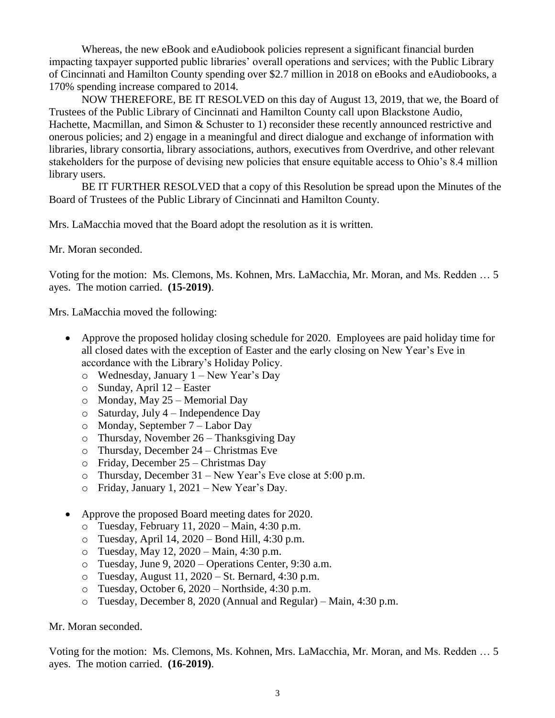Whereas, the new eBook and eAudiobook policies represent a significant financial burden impacting taxpayer supported public libraries' overall operations and services; with the Public Library of Cincinnati and Hamilton County spending over \$2.7 million in 2018 on eBooks and eAudiobooks, a 170% spending increase compared to 2014.

NOW THEREFORE, BE IT RESOLVED on this day of August 13, 2019, that we, the Board of Trustees of the Public Library of Cincinnati and Hamilton County call upon Blackstone Audio, Hachette, Macmillan, and Simon & Schuster to 1) reconsider these recently announced restrictive and onerous policies; and 2) engage in a meaningful and direct dialogue and exchange of information with libraries, library consortia, library associations, authors, executives from Overdrive, and other relevant stakeholders for the purpose of devising new policies that ensure equitable access to Ohio's 8.4 million library users.

BE IT FURTHER RESOLVED that a copy of this Resolution be spread upon the Minutes of the Board of Trustees of the Public Library of Cincinnati and Hamilton County.

Mrs. LaMacchia moved that the Board adopt the resolution as it is written.

Mr. Moran seconded.

Voting for the motion: Ms. Clemons, Ms. Kohnen, Mrs. LaMacchia, Mr. Moran, and Ms. Redden … 5 ayes. The motion carried. **(15-2019)**.

Mrs. LaMacchia moved the following:

- Approve the proposed holiday closing schedule for 2020. Employees are paid holiday time for all closed dates with the exception of Easter and the early closing on New Year's Eve in accordance with the Library's Holiday Policy.
	- o Wednesday, January 1 New Year's Day
	- o Sunday, April 12 Easter
	- o Monday, May 25 Memorial Day
	- o Saturday, July 4 Independence Day
	- o Monday, September 7 Labor Day
	- o Thursday, November 26 Thanksgiving Day
	- o Thursday, December 24 Christmas Eve
	- o Friday, December 25 Christmas Day
	- o Thursday, December 31 New Year's Eve close at 5:00 p.m.
	- o Friday, January 1, 2021 New Year's Day.
- Approve the proposed Board meeting dates for 2020.
	- o Tuesday, February 11, 2020 Main, 4:30 p.m.
	- o Tuesday, April 14, 2020 Bond Hill, 4:30 p.m.
	- o Tuesday, May 12, 2020 Main, 4:30 p.m.
	- o Tuesday, June 9, 2020 Operations Center, 9:30 a.m.
	- $\circ$  Tuesday, August 11, 2020 St. Bernard, 4:30 p.m.
	- o Tuesday, October 6, 2020 Northside, 4:30 p.m.
	- o Tuesday, December 8, 2020 (Annual and Regular) Main, 4:30 p.m.

#### Mr. Moran seconded.

Voting for the motion: Ms. Clemons, Ms. Kohnen, Mrs. LaMacchia, Mr. Moran, and Ms. Redden … 5 ayes. The motion carried. **(16-2019)**.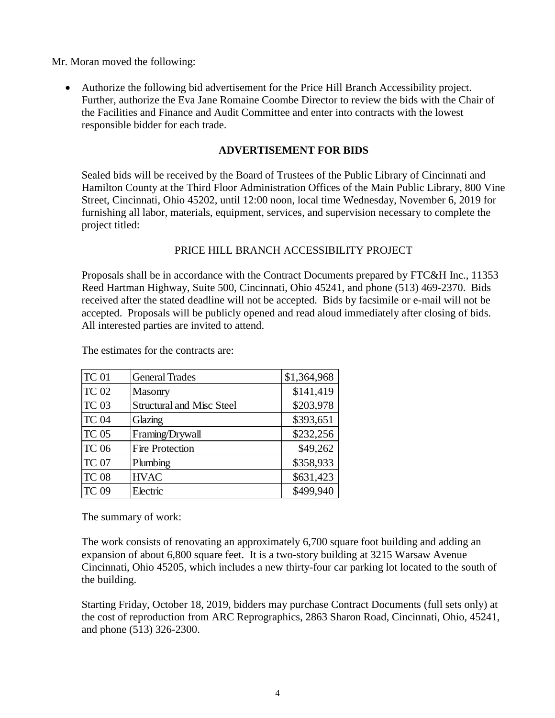Mr. Moran moved the following:

 Authorize the following bid advertisement for the Price Hill Branch Accessibility project. Further, authorize the Eva Jane Romaine Coombe Director to review the bids with the Chair of the Facilities and Finance and Audit Committee and enter into contracts with the lowest responsible bidder for each trade.

#### **ADVERTISEMENT FOR BIDS**

Sealed bids will be received by the Board of Trustees of the Public Library of Cincinnati and Hamilton County at the Third Floor Administration Offices of the Main Public Library, 800 Vine Street, Cincinnati, Ohio 45202, until 12:00 noon, local time Wednesday, November 6, 2019 for furnishing all labor, materials, equipment, services, and supervision necessary to complete the project titled:

#### PRICE HILL BRANCH ACCESSIBILITY PROJECT

Proposals shall be in accordance with the Contract Documents prepared by FTC&H Inc., 11353 Reed Hartman Highway, Suite 500, Cincinnati, Ohio 45241, and phone (513) 469-2370. Bids received after the stated deadline will not be accepted. Bids by facsimile or e-mail will not be accepted. Proposals will be publicly opened and read aloud immediately after closing of bids. All interested parties are invited to attend.

| TC <sub>01</sub> | <b>General Trades</b>            | \$1,364,968 |
|------------------|----------------------------------|-------------|
| TC 02            | <b>Masonry</b>                   | \$141,419   |
| TC <sub>03</sub> | <b>Structural and Misc Steel</b> | \$203,978   |
| TC <sub>04</sub> | Glazing                          | \$393,651   |
| TC <sub>05</sub> | Framing/Drywall                  | \$232,256   |
| <b>TC 06</b>     | <b>Fire Protection</b>           | \$49,262    |
| <b>TC 07</b>     | Plumbing                         | \$358,933   |
| <b>TC 08</b>     | <b>HVAC</b>                      | \$631,423   |
| <b>TC 09</b>     | Electric                         | \$499,940   |

The estimates for the contracts are:

The summary of work:

The work consists of renovating an approximately 6,700 square foot building and adding an expansion of about 6,800 square feet. It is a two-story building at 3215 Warsaw Avenue Cincinnati, Ohio 45205, which includes a new thirty-four car parking lot located to the south of the building.

Starting Friday, October 18, 2019, bidders may purchase Contract Documents (full sets only) at the cost of reproduction from ARC Reprographics, 2863 Sharon Road, Cincinnati, Ohio, 45241, and phone (513) 326-2300.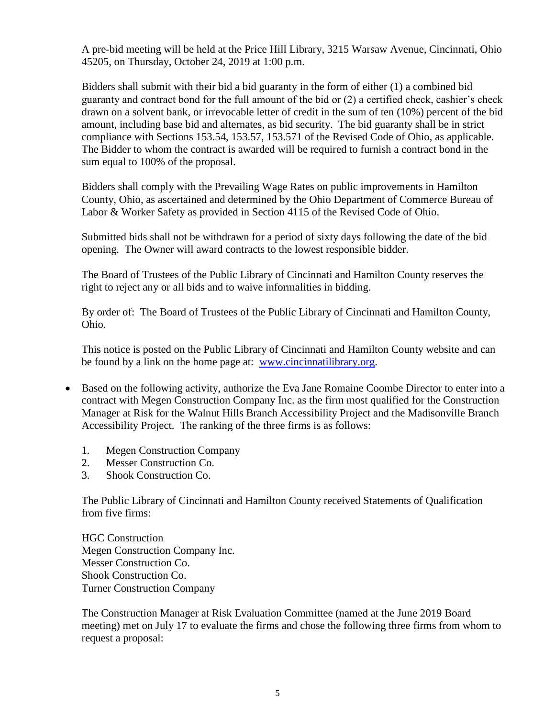A pre-bid meeting will be held at the Price Hill Library, 3215 Warsaw Avenue, Cincinnati, Ohio 45205, on Thursday, October 24, 2019 at 1:00 p.m.

Bidders shall submit with their bid a bid guaranty in the form of either (1) a combined bid guaranty and contract bond for the full amount of the bid or (2) a certified check, cashier's check drawn on a solvent bank, or irrevocable letter of credit in the sum of ten (10%) percent of the bid amount, including base bid and alternates, as bid security. The bid guaranty shall be in strict compliance with Sections 153.54, 153.57, 153.571 of the Revised Code of Ohio, as applicable. The Bidder to whom the contract is awarded will be required to furnish a contract bond in the sum equal to 100% of the proposal.

Bidders shall comply with the Prevailing Wage Rates on public improvements in Hamilton County, Ohio, as ascertained and determined by the Ohio Department of Commerce Bureau of Labor & Worker Safety as provided in Section 4115 of the Revised Code of Ohio.

Submitted bids shall not be withdrawn for a period of sixty days following the date of the bid opening. The Owner will award contracts to the lowest responsible bidder.

The Board of Trustees of the Public Library of Cincinnati and Hamilton County reserves the right to reject any or all bids and to waive informalities in bidding.

By order of: The Board of Trustees of the Public Library of Cincinnati and Hamilton County, Ohio.

This notice is posted on the Public Library of Cincinnati and Hamilton County website and can be found by a link on the home page at: [www.cincinnatilibrary.org.](http://www.cincinnatilibrary.org/)

- Based on the following activity, authorize the Eva Jane Romaine Coombe Director to enter into a contract with Megen Construction Company Inc. as the firm most qualified for the Construction Manager at Risk for the Walnut Hills Branch Accessibility Project and the Madisonville Branch Accessibility Project. The ranking of the three firms is as follows:
	- 1. Megen Construction Company
	- 2. Messer Construction Co.
	- 3. Shook Construction Co.

The Public Library of Cincinnati and Hamilton County received Statements of Qualification from five firms:

HGC Construction Megen Construction Company Inc. Messer Construction Co. Shook Construction Co. Turner Construction Company

The Construction Manager at Risk Evaluation Committee (named at the June 2019 Board meeting) met on July 17 to evaluate the firms and chose the following three firms from whom to request a proposal: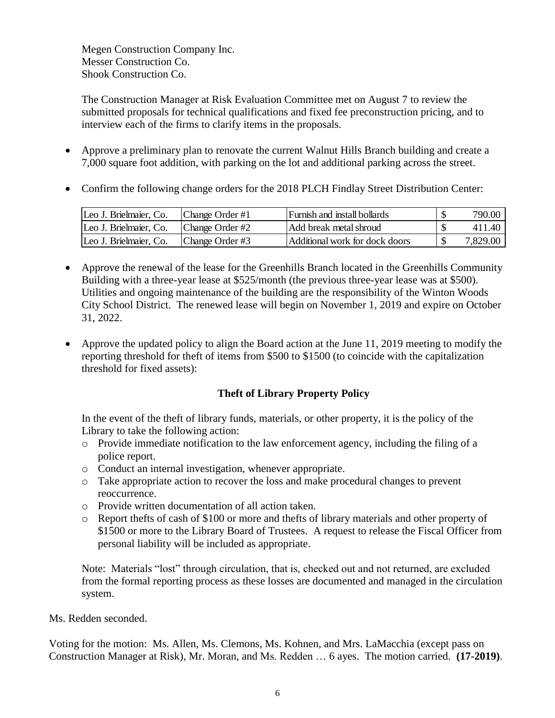Megen Construction Company Inc. Messer Construction Co. Shook Construction Co.

The Construction Manager at Risk Evaluation Committee met on August 7 to review the submitted proposals for technical qualifications and fixed fee preconstruction pricing, and to interview each of the firms to clarify items in the proposals.

- Approve a preliminary plan to renovate the current Walnut Hills Branch building and create a 7,000 square foot addition, with parking on the lot and additional parking across the street.
- Confirm the following change orders for the 2018 PLCH Findlay Street Distribution Center:

| Leo J. Brielmaier, Co. | Change Order #1 | Furnish and install bollards    | 790.00   |
|------------------------|-----------------|---------------------------------|----------|
| Leo J. Brielmaier, Co. | Change Order #2 | Add break metal shroud          | 411.40   |
| Leo J. Brielmaier, Co. | Change Order #3 | lAdditional work for dock doors | 7,829.00 |

- Approve the renewal of the lease for the Greenhills Branch located in the Greenhills Community Building with a three-year lease at \$525/month (the previous three-year lease was at \$500). Utilities and ongoing maintenance of the building are the responsibility of the Winton Woods City School District. The renewed lease will begin on November 1, 2019 and expire on October 31, 2022.
- Approve the updated policy to align the Board action at the June 11, 2019 meeting to modify the reporting threshold for theft of items from \$500 to \$1500 (to coincide with the capitalization threshold for fixed assets):

### **Theft of Library Property Policy**

In the event of the theft of library funds, materials, or other property, it is the policy of the Library to take the following action:

- o Provide immediate notification to the law enforcement agency, including the filing of a police report.
- o Conduct an internal investigation, whenever appropriate.
- o Take appropriate action to recover the loss and make procedural changes to prevent reoccurrence.
- o Provide written documentation of all action taken.
- o Report thefts of cash of \$100 or more and thefts of library materials and other property of \$1500 or more to the Library Board of Trustees. A request to release the Fiscal Officer from personal liability will be included as appropriate.

Note: Materials "lost" through circulation, that is, checked out and not returned, are excluded from the formal reporting process as these losses are documented and managed in the circulation system.

Ms. Redden seconded.

Voting for the motion: Ms. Allen, Ms. Clemons, Ms. Kohnen, and Mrs. LaMacchia (except pass on Construction Manager at Risk), Mr. Moran, and Ms. Redden … 6 ayes. The motion carried. **(17-2019)**.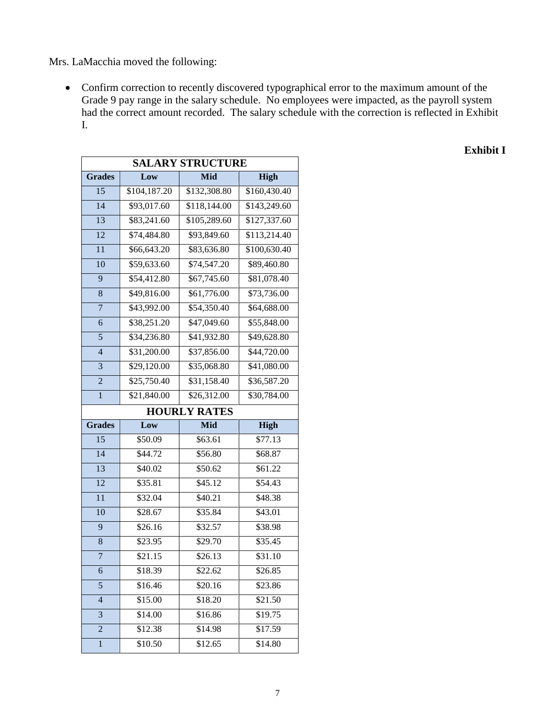Mrs. LaMacchia moved the following:

 Confirm correction to recently discovered typographical error to the maximum amount of the Grade 9 pay range in the salary schedule. No employees were impacted, as the payroll system had the correct amount recorded. The salary schedule with the correction is reflected in Exhibit I.

|                 | <b>SALARY STRUCTURE</b> |                         |              |  |  |  |
|-----------------|-------------------------|-------------------------|--------------|--|--|--|
| <b>Grades</b>   | Low                     | Mid                     | <b>High</b>  |  |  |  |
| $\overline{15}$ | \$104,187.20            | \$132,308.80            | \$160,430.40 |  |  |  |
| $\overline{14}$ | \$93,017.60             | \$118,144.00            | \$143,249.60 |  |  |  |
| 13              | \$83,241.60             | \$105,289.60            | \$127,337.60 |  |  |  |
| $\overline{12}$ | \$74,484.80             | \$93,849.60             | \$113,214.40 |  |  |  |
| $\overline{11}$ | \$66,643.20             | \$83,636.80             | \$100,630.40 |  |  |  |
| 10              | \$59,633.60             | \$74,547.20             | \$89,460.80  |  |  |  |
| 9               | \$54,412.80             | $\overline{$}67,745.60$ | \$81,078.40  |  |  |  |
| 8               | \$49,816.00             | \$61,776.00             | \$73,736.00  |  |  |  |
| $\overline{7}$  | \$43,992.00             | \$54,350.40             | \$64,688.00  |  |  |  |
| 6               | \$38,251.20             | \$47,049.60             | \$55,848.00  |  |  |  |
| 5               | \$34,236.80             | \$41,932.80             | \$49,628.80  |  |  |  |
| $\overline{4}$  | \$31,200.00             | \$37,856.00             | \$44,720.00  |  |  |  |
| 3               | \$29,120.00             | \$35,068.80             | \$41,080.00  |  |  |  |
| $\overline{c}$  | \$25,750.40             | \$31,158.40             | \$36,587.20  |  |  |  |
| $\mathbf{1}$    | \$21,840.00             | \$26,312.00             | \$30,784.00  |  |  |  |
|                 |                         | <b>HOURLY RATES</b>     |              |  |  |  |
| <b>Grades</b>   | Low                     | Mid                     | <b>High</b>  |  |  |  |
| 15              | \$50.09                 | \$63.61                 | \$77.13      |  |  |  |
| $\overline{14}$ | \$44.72                 | \$56.80                 | \$68.87      |  |  |  |
| $\overline{13}$ | \$40.02                 | \$50.62                 | \$61.22      |  |  |  |
| $\overline{12}$ | \$35.81                 | \$45.12                 | \$54.43      |  |  |  |
| $\overline{11}$ | \$32.04                 | \$40.21                 | \$48.38      |  |  |  |
| 10              | \$28.67                 | \$35.84                 | \$43.01      |  |  |  |
| 9               | \$26.16                 | \$32.57                 | \$38.98      |  |  |  |
| 8               | \$23.95                 | \$29.70                 | \$35.45      |  |  |  |
| $\overline{7}$  | \$21.15                 | \$26.13                 | \$31.10      |  |  |  |
| 6               | \$18.39                 | \$22.62                 | \$26.85      |  |  |  |
| 5               | \$16.46                 | \$20.16                 | \$23.86      |  |  |  |
| $\overline{4}$  | \$15.00                 | \$18.20                 | \$21.50      |  |  |  |
| 3               | \$14.00                 | \$16.86                 | \$19.75      |  |  |  |
| $\overline{2}$  | \$12.38                 | \$14.98                 | \$17.59      |  |  |  |
| $\,1$           | \$10.50                 | \$12.65                 | \$14.80      |  |  |  |

**Exhibit I**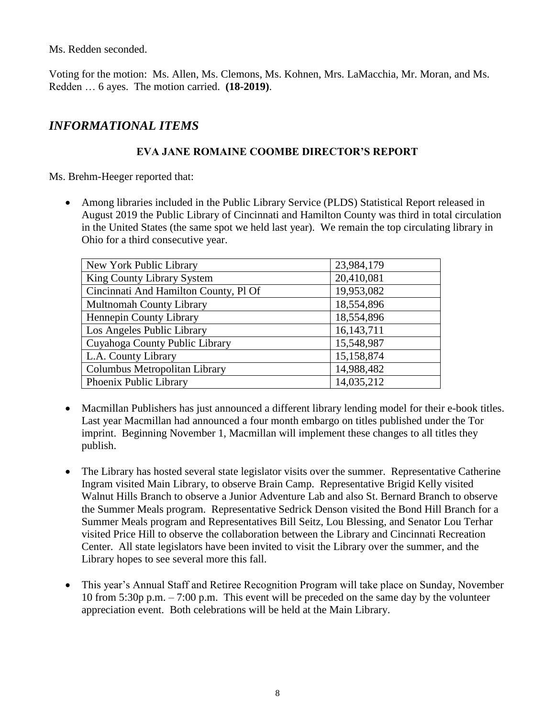Ms. Redden seconded.

Voting for the motion: Ms. Allen, Ms. Clemons, Ms. Kohnen, Mrs. LaMacchia, Mr. Moran, and Ms. Redden … 6 ayes. The motion carried. **(18-2019)**.

# *INFORMATIONAL ITEMS*

## **EVA JANE ROMAINE COOMBE DIRECTOR'S REPORT**

Ms. Brehm-Heeger reported that:

 Among libraries included in the Public Library Service (PLDS) Statistical Report released in August 2019 the Public Library of Cincinnati and Hamilton County was third in total circulation in the United States (the same spot we held last year). We remain the top circulating library in Ohio for a third consecutive year.

| New York Public Library               | 23,984,179   |
|---------------------------------------|--------------|
| King County Library System            | 20,410,081   |
| Cincinnati And Hamilton County, Pl Of | 19,953,082   |
| <b>Multnomah County Library</b>       | 18,554,896   |
| Hennepin County Library               | 18,554,896   |
| Los Angeles Public Library            | 16, 143, 711 |
| Cuyahoga County Public Library        | 15,548,987   |
| L.A. County Library                   | 15,158,874   |
| Columbus Metropolitan Library         | 14,988,482   |
| Phoenix Public Library                | 14,035,212   |

- Macmillan Publishers has just announced a different library lending model for their e-book titles. Last year Macmillan had announced a four month embargo on titles published under the Tor imprint. Beginning November 1, Macmillan will implement these changes to all titles they publish.
- The Library has hosted several state legislator visits over the summer. Representative Catherine Ingram visited Main Library, to observe Brain Camp. Representative Brigid Kelly visited Walnut Hills Branch to observe a Junior Adventure Lab and also St. Bernard Branch to observe the Summer Meals program. Representative Sedrick Denson visited the Bond Hill Branch for a Summer Meals program and Representatives Bill Seitz, Lou Blessing, and Senator Lou Terhar visited Price Hill to observe the collaboration between the Library and Cincinnati Recreation Center. All state legislators have been invited to visit the Library over the summer, and the Library hopes to see several more this fall.
- This year's Annual Staff and Retiree Recognition Program will take place on Sunday, November 10 from 5:30p p.m. – 7:00 p.m. This event will be preceded on the same day by the volunteer appreciation event. Both celebrations will be held at the Main Library.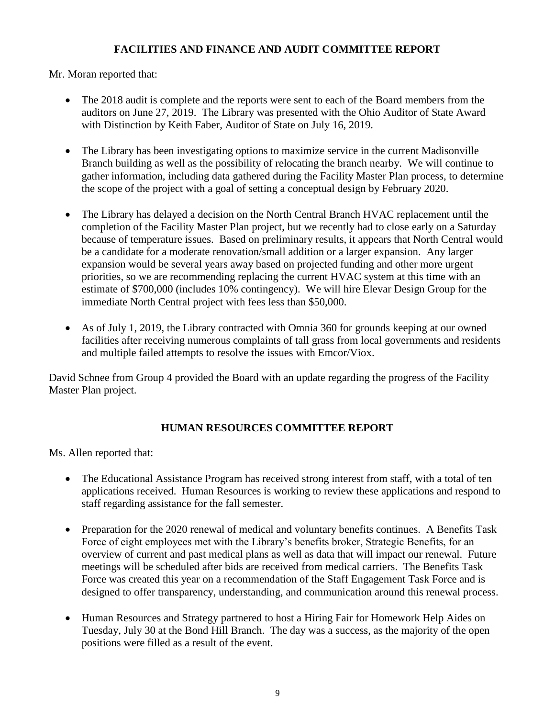# **FACILITIES AND FINANCE AND AUDIT COMMITTEE REPORT**

Mr. Moran reported that:

- The 2018 audit is complete and the reports were sent to each of the Board members from the auditors on June 27, 2019. The Library was presented with the Ohio Auditor of State Award with Distinction by Keith Faber, Auditor of State on July 16, 2019.
- The Library has been investigating options to maximize service in the current Madisonville Branch building as well as the possibility of relocating the branch nearby. We will continue to gather information, including data gathered during the Facility Master Plan process, to determine the scope of the project with a goal of setting a conceptual design by February 2020.
- The Library has delayed a decision on the North Central Branch HVAC replacement until the completion of the Facility Master Plan project, but we recently had to close early on a Saturday because of temperature issues. Based on preliminary results, it appears that North Central would be a candidate for a moderate renovation/small addition or a larger expansion. Any larger expansion would be several years away based on projected funding and other more urgent priorities, so we are recommending replacing the current HVAC system at this time with an estimate of \$700,000 (includes 10% contingency). We will hire Elevar Design Group for the immediate North Central project with fees less than \$50,000.
- As of July 1, 2019, the Library contracted with Omnia 360 for grounds keeping at our owned facilities after receiving numerous complaints of tall grass from local governments and residents and multiple failed attempts to resolve the issues with Emcor/Viox.

David Schnee from Group 4 provided the Board with an update regarding the progress of the Facility Master Plan project.

# **HUMAN RESOURCES COMMITTEE REPORT**

Ms. Allen reported that:

- The Educational Assistance Program has received strong interest from staff, with a total of ten applications received. Human Resources is working to review these applications and respond to staff regarding assistance for the fall semester.
- Preparation for the 2020 renewal of medical and voluntary benefits continues. A Benefits Task Force of eight employees met with the Library's benefits broker, Strategic Benefits, for an overview of current and past medical plans as well as data that will impact our renewal. Future meetings will be scheduled after bids are received from medical carriers. The Benefits Task Force was created this year on a recommendation of the Staff Engagement Task Force and is designed to offer transparency, understanding, and communication around this renewal process.
- Human Resources and Strategy partnered to host a Hiring Fair for Homework Help Aides on Tuesday, July 30 at the Bond Hill Branch. The day was a success, as the majority of the open positions were filled as a result of the event.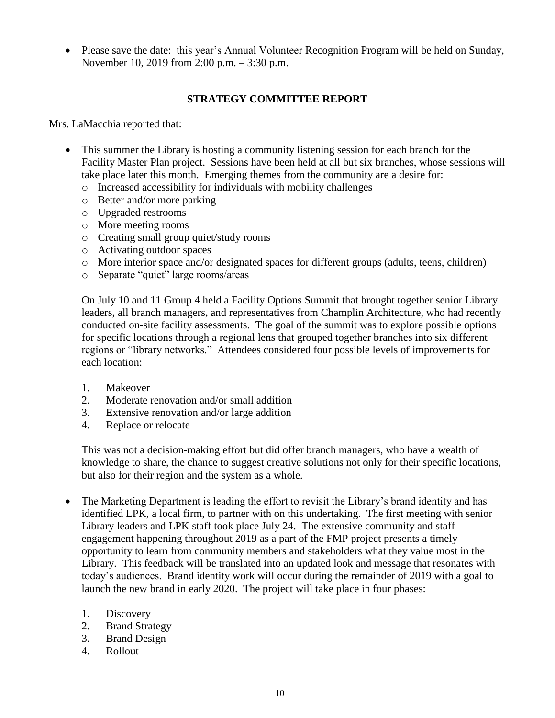Please save the date: this year's Annual Volunteer Recognition Program will be held on Sunday, November 10, 2019 from 2:00 p.m. – 3:30 p.m.

#### **STRATEGY COMMITTEE REPORT**

Mrs. LaMacchia reported that:

- This summer the Library is hosting a community listening session for each branch for the Facility Master Plan project. Sessions have been held at all but six branches, whose sessions will take place later this month. Emerging themes from the community are a desire for:
	- o Increased accessibility for individuals with mobility challenges
	- o Better and/or more parking
	- o Upgraded restrooms
	- o More meeting rooms
	- o Creating small group quiet/study rooms
	- o Activating outdoor spaces
	- o More interior space and/or designated spaces for different groups (adults, teens, children)
	- o Separate "quiet" large rooms/areas

On July 10 and 11 Group 4 held a Facility Options Summit that brought together senior Library leaders, all branch managers, and representatives from Champlin Architecture, who had recently conducted on-site facility assessments. The goal of the summit was to explore possible options for specific locations through a regional lens that grouped together branches into six different regions or "library networks." Attendees considered four possible levels of improvements for each location:

- 1. Makeover
- 2. Moderate renovation and/or small addition
- 3. Extensive renovation and/or large addition
- 4. Replace or relocate

This was not a decision-making effort but did offer branch managers, who have a wealth of knowledge to share, the chance to suggest creative solutions not only for their specific locations, but also for their region and the system as a whole.

- The Marketing Department is leading the effort to revisit the Library's brand identity and has identified LPK, a local firm, to partner with on this undertaking. The first meeting with senior Library leaders and LPK staff took place July 24. The extensive community and staff engagement happening throughout 2019 as a part of the FMP project presents a timely opportunity to learn from community members and stakeholders what they value most in the Library. This feedback will be translated into an updated look and message that resonates with today's audiences. Brand identity work will occur during the remainder of 2019 with a goal to launch the new brand in early 2020. The project will take place in four phases:
	- 1. Discovery
	- 2. Brand Strategy
	- 3. Brand Design
	- 4. Rollout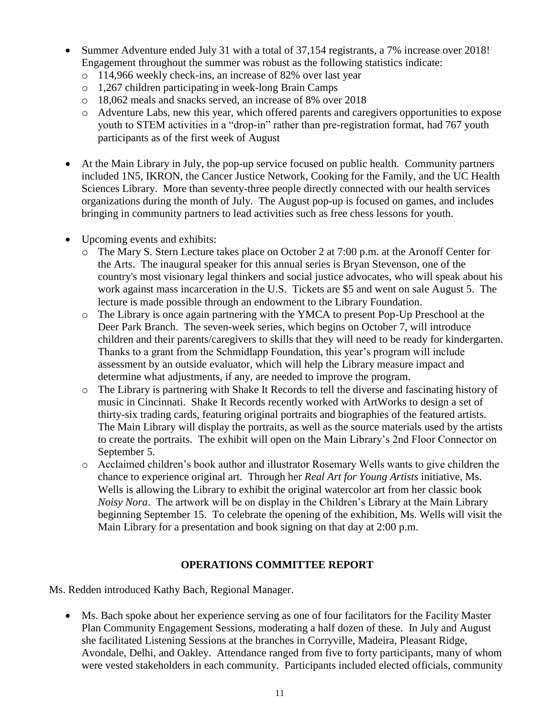- Summer Adventure ended July 31 with a total of 37,154 registrants, a 7% increase over 2018! Engagement throughout the summer was robust as the following statistics indicate:
	- o 114,966 weekly check-ins, an increase of 82% over last year
	- o 1,267 children participating in week-long Brain Camps
	- o 18,062 meals and snacks served, an increase of 8% over 2018
	- o Adventure Labs, new this year, which offered parents and caregivers opportunities to expose youth to STEM activities in a "drop-in" rather than pre-registration format, had 767 youth participants as of the first week of August
- At the Main Library in July, the pop-up service focused on public health. Community partners included 1N5, IKRON, the Cancer Justice Network, Cooking for the Family, and the UC Health Sciences Library. More than seventy-three people directly connected with our health services organizations during the month of July. The August pop-up is focused on games, and includes bringing in community partners to lead activities such as free chess lessons for youth.
- Upcoming events and exhibits:
	- o The Mary S. Stern Lecture takes place on October 2 at 7:00 p.m. at the Aronoff Center for the Arts. The inaugural speaker for this annual series is Bryan Stevenson, one of the country's most visionary legal thinkers and social justice advocates, who will speak about his work against mass incarceration in the U.S. Tickets are \$5 and went on sale August 5. The lecture is made possible through an endowment to the Library Foundation.
	- o The Library is once again partnering with the YMCA to present Pop-Up Preschool at the Deer Park Branch. The seven-week series, which begins on October 7, will introduce children and their parents/caregivers to skills that they will need to be ready for kindergarten. Thanks to a grant from the Schmidlapp Foundation, this year's program will include assessment by an outside evaluator, which will help the Library measure impact and determine what adjustments, if any, are needed to improve the program.
	- o The Library is partnering with Shake It Records to tell the diverse and fascinating history of music in Cincinnati. Shake It Records recently worked with ArtWorks to design a set of thirty-six trading cards, featuring original portraits and biographies of the featured artists. The Main Library will display the portraits, as well as the source materials used by the artists to create the portraits. The exhibit will open on the Main Library's 2nd Floor Connector on September 5.
	- o Acclaimed children's book author and illustrator Rosemary Wells wants to give children the chance to experience original art. Through her *Real Art for Young Artists* initiative, Ms. Wells is allowing the Library to exhibit the original watercolor art from her classic book *Noisy Nora*. The artwork will be on display in the Children's Library at the Main Library beginning September 15. To celebrate the opening of the exhibition, Ms. Wells will visit the Main Library for a presentation and book signing on that day at 2:00 p.m.

### **OPERATIONS COMMITTEE REPORT**

Ms. Redden introduced Kathy Bach, Regional Manager.

 Ms. Bach spoke about her experience serving as one of four facilitators for the Facility Master Plan Community Engagement Sessions, moderating a half dozen of these. In July and August she facilitated Listening Sessions at the branches in Corryville, Madeira, Pleasant Ridge, Avondale, Delhi, and Oakley. Attendance ranged from five to forty participants, many of whom were vested stakeholders in each community. Participants included elected officials, community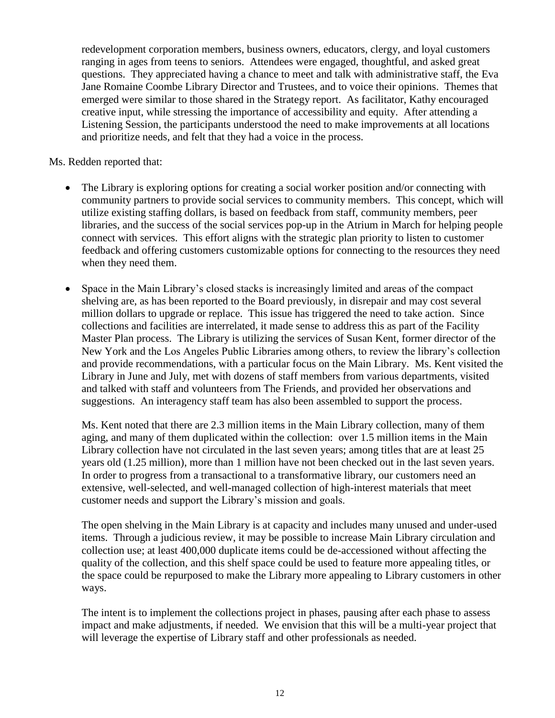redevelopment corporation members, business owners, educators, clergy, and loyal customers ranging in ages from teens to seniors. Attendees were engaged, thoughtful, and asked great questions. They appreciated having a chance to meet and talk with administrative staff, the Eva Jane Romaine Coombe Library Director and Trustees, and to voice their opinions. Themes that emerged were similar to those shared in the Strategy report. As facilitator, Kathy encouraged creative input, while stressing the importance of accessibility and equity. After attending a Listening Session, the participants understood the need to make improvements at all locations and prioritize needs, and felt that they had a voice in the process.

#### Ms. Redden reported that:

- The Library is exploring options for creating a social worker position and/or connecting with community partners to provide social services to community members. This concept, which will utilize existing staffing dollars, is based on feedback from staff, community members, peer libraries, and the success of the social services pop-up in the Atrium in March for helping people connect with services. This effort aligns with the strategic plan priority to listen to customer feedback and offering customers customizable options for connecting to the resources they need when they need them.
- Space in the Main Library's closed stacks is increasingly limited and areas of the compact shelving are, as has been reported to the Board previously, in disrepair and may cost several million dollars to upgrade or replace. This issue has triggered the need to take action. Since collections and facilities are interrelated, it made sense to address this as part of the Facility Master Plan process. The Library is utilizing the services of Susan Kent, former director of the New York and the Los Angeles Public Libraries among others, to review the library's collection and provide recommendations, with a particular focus on the Main Library. Ms. Kent visited the Library in June and July, met with dozens of staff members from various departments, visited and talked with staff and volunteers from The Friends, and provided her observations and suggestions. An interagency staff team has also been assembled to support the process.

Ms. Kent noted that there are 2.3 million items in the Main Library collection, many of them aging, and many of them duplicated within the collection: over 1.5 million items in the Main Library collection have not circulated in the last seven years; among titles that are at least 25 years old (1.25 million), more than 1 million have not been checked out in the last seven years. In order to progress from a transactional to a transformative library, our customers need an extensive, well-selected, and well-managed collection of high-interest materials that meet customer needs and support the Library's mission and goals.

The open shelving in the Main Library is at capacity and includes many unused and under-used items. Through a judicious review, it may be possible to increase Main Library circulation and collection use; at least 400,000 duplicate items could be de-accessioned without affecting the quality of the collection, and this shelf space could be used to feature more appealing titles, or the space could be repurposed to make the Library more appealing to Library customers in other ways.

The intent is to implement the collections project in phases, pausing after each phase to assess impact and make adjustments, if needed. We envision that this will be a multi-year project that will leverage the expertise of Library staff and other professionals as needed.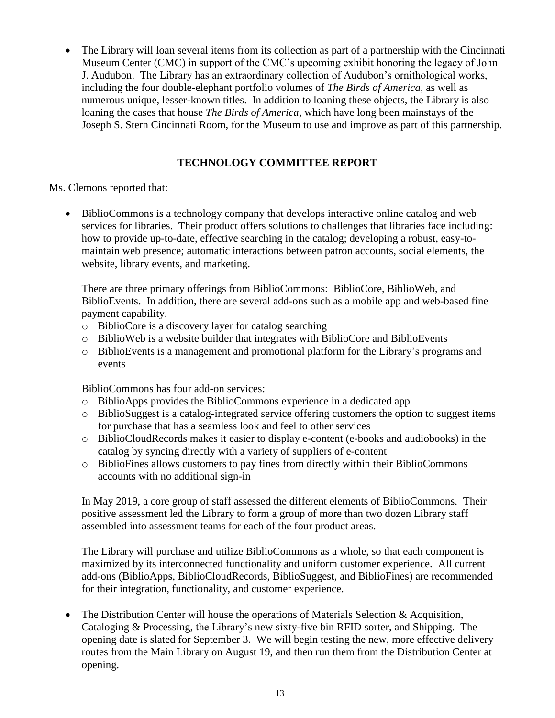The Library will loan several items from its collection as part of a partnership with the Cincinnati Museum Center (CMC) in support of the CMC's upcoming exhibit honoring the legacy of John J. Audubon. The Library has an extraordinary collection of Audubon's ornithological works, including the four double-elephant portfolio volumes of *The Birds of America*, as well as numerous unique, lesser-known titles. In addition to loaning these objects, the Library is also loaning the cases that house *The Birds of America*, which have long been mainstays of the Joseph S. Stern Cincinnati Room, for the Museum to use and improve as part of this partnership.

## **TECHNOLOGY COMMITTEE REPORT**

Ms. Clemons reported that:

 BiblioCommons is a technology company that develops interactive online catalog and web services for libraries. Their product offers solutions to challenges that libraries face including: how to provide up-to-date, effective searching in the catalog; developing a robust, easy-tomaintain web presence; automatic interactions between patron accounts, social elements, the website, library events, and marketing.

There are three primary offerings from BiblioCommons: BiblioCore, BiblioWeb, and BiblioEvents. In addition, there are several add-ons such as a mobile app and web-based fine payment capability.

- o BiblioCore is a discovery layer for catalog searching
- o BiblioWeb is a website builder that integrates with BiblioCore and BiblioEvents
- o BiblioEvents is a management and promotional platform for the Library's programs and events

BiblioCommons has four add-on services:

- o BiblioApps provides the BiblioCommons experience in a dedicated app
- o BiblioSuggest is a catalog-integrated service offering customers the option to suggest items for purchase that has a seamless look and feel to other services
- o BiblioCloudRecords makes it easier to display e-content (e-books and audiobooks) in the catalog by syncing directly with a variety of suppliers of e-content
- o BiblioFines allows customers to pay fines from directly within their BiblioCommons accounts with no additional sign-in

In May 2019, a core group of staff assessed the different elements of BiblioCommons. Their positive assessment led the Library to form a group of more than two dozen Library staff assembled into assessment teams for each of the four product areas.

The Library will purchase and utilize BiblioCommons as a whole, so that each component is maximized by its interconnected functionality and uniform customer experience. All current add-ons (BiblioApps, BiblioCloudRecords, BiblioSuggest, and BiblioFines) are recommended for their integration, functionality, and customer experience.

 The Distribution Center will house the operations of Materials Selection & Acquisition, Cataloging & Processing, the Library's new sixty-five bin RFID sorter, and Shipping. The opening date is slated for September 3. We will begin testing the new, more effective delivery routes from the Main Library on August 19, and then run them from the Distribution Center at opening.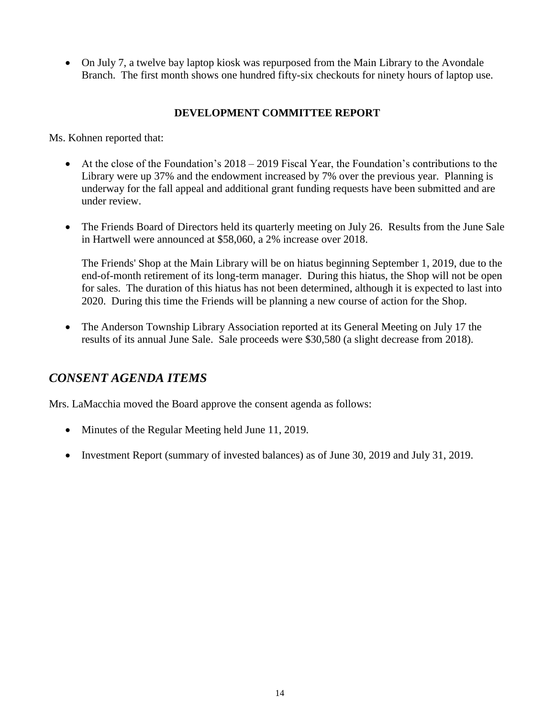• On July 7, a twelve bay laptop kiosk was repurposed from the Main Library to the Avondale Branch. The first month shows one hundred fifty-six checkouts for ninety hours of laptop use.

# **DEVELOPMENT COMMITTEE REPORT**

Ms. Kohnen reported that:

- $\bullet$  At the close of the Foundation's 2018 2019 Fiscal Year, the Foundation's contributions to the Library were up 37% and the endowment increased by 7% over the previous year. Planning is underway for the fall appeal and additional grant funding requests have been submitted and are under review.
- The Friends Board of Directors held its quarterly meeting on July 26. Results from the June Sale in Hartwell were announced at \$58,060, a 2% increase over 2018.

The Friends' Shop at the Main Library will be on hiatus beginning September 1, 2019, due to the end-of-month retirement of its long-term manager. During this hiatus, the Shop will not be open for sales. The duration of this hiatus has not been determined, although it is expected to last into 2020. During this time the Friends will be planning a new course of action for the Shop.

• The Anderson Township Library Association reported at its General Meeting on July 17 the results of its annual June Sale. Sale proceeds were \$30,580 (a slight decrease from 2018).

# *CONSENT AGENDA ITEMS*

Mrs. LaMacchia moved the Board approve the consent agenda as follows:

- Minutes of the Regular Meeting held June 11, 2019.
- Investment Report (summary of invested balances) as of June 30, 2019 and July 31, 2019.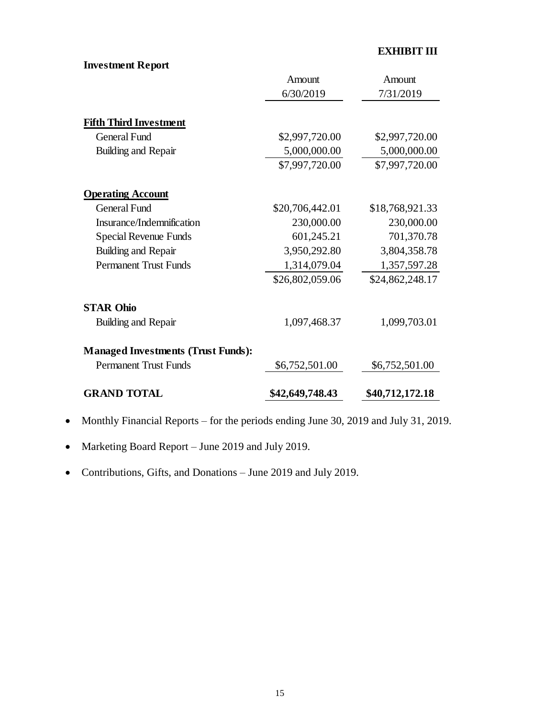# **EXHIBIT III**

# **Investment Report**

|                                           | Amount          | Amount          |
|-------------------------------------------|-----------------|-----------------|
|                                           | 6/30/2019       | 7/31/2019       |
| <b>Fifth Third Investment</b>             |                 |                 |
| <b>General Fund</b>                       | \$2,997,720.00  | \$2,997,720.00  |
| Building and Repair                       | 5,000,000.00    | 5,000,000.00    |
|                                           | \$7,997,720.00  | \$7,997,720.00  |
| <b>Operating Account</b>                  |                 |                 |
| <b>General Fund</b>                       | \$20,706,442.01 | \$18,768,921.33 |
| Insurance/Indemnification                 | 230,000.00      | 230,000.00      |
| <b>Special Revenue Funds</b>              | 601,245.21      | 701,370.78      |
| Building and Repair                       | 3,950,292.80    | 3,804,358.78    |
| <b>Permanent Trust Funds</b>              | 1,314,079.04    | 1,357,597.28    |
|                                           | \$26,802,059.06 | \$24,862,248.17 |
| <b>STAR Ohio</b>                          |                 |                 |
| Building and Repair                       | 1,097,468.37    | 1,099,703.01    |
| <b>Managed Investments (Trust Funds):</b> |                 |                 |
| <b>Permanent Trust Funds</b>              | \$6,752,501.00  | \$6,752,501.00  |
| <b>GRAND TOTAL</b>                        | \$42,649,748.43 | \$40,712,172.18 |

- Monthly Financial Reports for the periods ending June 30, 2019 and July 31, 2019.
- Marketing Board Report June 2019 and July 2019.
- Contributions, Gifts, and Donations June 2019 and July 2019.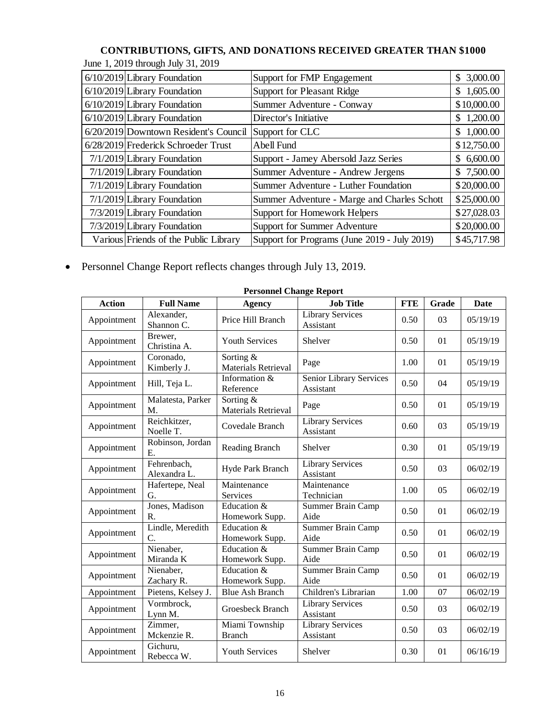# **CONTRIBUTIONS, GIFTS, AND DONATIONS RECEIVED GREATER THAN \$1000**

|  |  | June 1, 2019 through July 31, 2019 |  |  |  |
|--|--|------------------------------------|--|--|--|
|--|--|------------------------------------|--|--|--|

| $6/10/2019$ Library Foundation        | Support for FMP Engagement                   | \$3,000.00      |
|---------------------------------------|----------------------------------------------|-----------------|
| $6/10/2019$ Library Foundation        | <b>Support for Pleasant Ridge</b>            | 1,605.00<br>\$. |
| 6/10/2019 Library Foundation          | Summer Adventure - Conway                    | \$10,000.00     |
| $6/10/2019$ Library Foundation        | Director's Initiative                        | 1,200.00<br>S.  |
| 6/20/2019 Downtown Resident's Council | Support for CLC                              | \$1,000.00      |
| 6/28/2019 Frederick Schroeder Trust   | Abell Fund                                   | \$12,750.00     |
| $7/1/2019$ Library Foundation         | Support - Jamey Abersold Jazz Series         | 6,600.00<br>\$. |
| 7/1/2019 Library Foundation           | Summer Adventure - Andrew Jergens            | \$7,500.00      |
| 7/1/2019 Library Foundation           | Summer Adventure - Luther Foundation         | \$20,000.00     |
| 7/1/2019 Library Foundation           | Summer Adventure - Marge and Charles Schott  | \$25,000.00     |
| 7/3/2019 Library Foundation           | Support for Homework Helpers                 | \$27,028.03     |
| 7/3/2019 Library Foundation           | <b>Support for Summer Adventure</b>          | \$20,000.00     |
| Various Friends of the Public Library | Support for Programs (June 2019 - July 2019) | \$45,717.98     |

Personnel Change Report reflects changes through July 13, 2019.

| <b>Personnel Change Report</b> |                                     |                                             |                                      |            |       |          |
|--------------------------------|-------------------------------------|---------------------------------------------|--------------------------------------|------------|-------|----------|
| <b>Action</b>                  | <b>Full Name</b>                    | <b>Agency</b>                               | <b>Job Title</b>                     | <b>FTE</b> | Grade | Date     |
| Appointment                    | Alexander,<br>Shannon C.            | Price Hill Branch                           | <b>Library Services</b><br>Assistant | 0.50       | 03    | 05/19/19 |
| Appointment                    | Brewer,<br>Christina A.             | <b>Youth Services</b>                       | Shelver                              | 0.50       | 01    | 05/19/19 |
| Appointment                    | Coronado,<br>Kimberly J.            | Sorting &<br><b>Materials Retrieval</b>     | Page                                 | 1.00       | 01    | 05/19/19 |
| Appointment                    | Hill, Teja L.                       | Information &<br>Reference                  | Senior Library Services<br>Assistant | 0.50       | 04    | 05/19/19 |
| Appointment                    | Malatesta, Parker<br>M.             | Sorting &<br>Materials Retrieval            | Page                                 | 0.50       | 01    | 05/19/19 |
| Appointment                    | Reichkitzer,<br>Noelle T.           | Covedale Branch                             | Library Services<br>Assistant        | 0.60       | 03    | 05/19/19 |
| Appointment                    | Robinson, Jordan<br>Ε.              | Reading Branch                              | Shelver                              | 0.30       | 01    | 05/19/19 |
| Appointment                    | Fehrenbach,<br>Alexandra L.         | Hyde Park Branch                            | <b>Library Services</b><br>Assistant | 0.50       | 03    | 06/02/19 |
| Appointment                    | Hafertepe, Neal<br>G.               | Maintenance<br>Services                     | Maintenance<br>Technician            | 1.00       | 05    | 06/02/19 |
| Appointment                    | Jones, Madison<br>R.                | Education $\overline{\&}$<br>Homework Supp. | <b>Summer Brain Camp</b><br>Aide     | 0.50       | 01    | 06/02/19 |
| Appointment                    | Lindle, Meredith<br>$\mathcal{C}$ . | Education &<br>Homework Supp.               | Summer Brain Camp<br>Aide            | 0.50       | 01    | 06/02/19 |
| Appointment                    | Nienaber,<br>Miranda K              | Education &<br>Homework Supp.               | <b>Summer Brain Camp</b><br>Aide     | 0.50       | 01    | 06/02/19 |
| Appointment                    | Nienaber,<br>Zachary R.             | Education &<br>Homework Supp.               | Summer Brain Camp<br>Aide            | 0.50       | 01    | 06/02/19 |
| Appointment                    | Pietens, Kelsey J.                  | <b>Blue Ash Branch</b>                      | Children's Librarian                 | 1.00       | 07    | 06/02/19 |
| Appointment                    | Vormbrock,<br>Lynn M.               | Groesbeck Branch                            | <b>Library Services</b><br>Assistant | 0.50       | 03    | 06/02/19 |
| Appointment                    | Zimmer,<br>Mckenzie R.              | Miami Township<br><b>Branch</b>             | <b>Library Services</b><br>Assistant | 0.50       | 03    | 06/02/19 |
| Appointment                    | Gichuru,<br>Rebecca W.              | <b>Youth Services</b>                       | Shelver                              | 0.30       | 01    | 06/16/19 |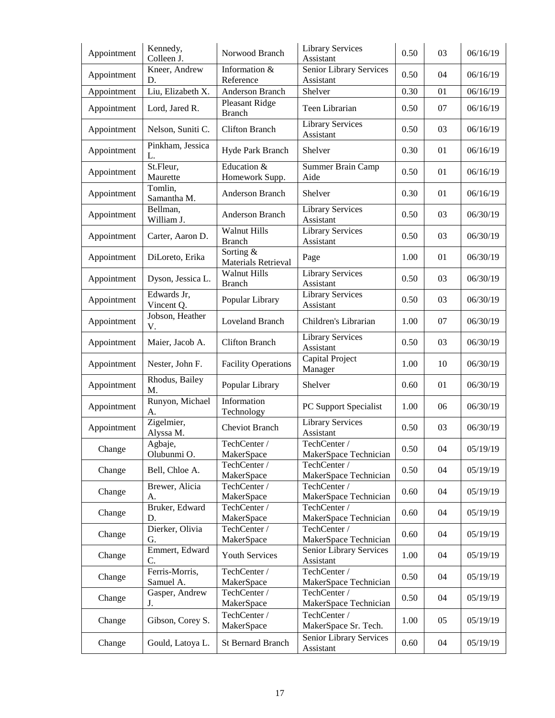| Appointment | Kennedy,<br>Colleen J.      | Norwood Branch                       | <b>Library Services</b><br>Assistant  | 0.50 | 03 | 06/16/19 |
|-------------|-----------------------------|--------------------------------------|---------------------------------------|------|----|----------|
| Appointment | Kneer, Andrew<br>D.         | Information &<br>Reference           | Senior Library Services<br>Assistant  | 0.50 | 04 | 06/16/19 |
| Appointment | Liu, Elizabeth X.           | Anderson Branch                      | Shelver                               | 0.30 | 01 | 06/16/19 |
| Appointment | Lord, Jared R.              | Pleasant Ridge<br><b>Branch</b>      | Teen Librarian                        | 0.50 | 07 | 06/16/19 |
| Appointment | Nelson, Suniti C.           | <b>Clifton Branch</b>                | <b>Library Services</b><br>Assistant  | 0.50 | 03 | 06/16/19 |
| Appointment | Pinkham, Jessica<br>L.      | Hyde Park Branch                     | Shelver                               | 0.30 | 01 | 06/16/19 |
| Appointment | St.Fleur,<br>Maurette       | Education &<br>Homework Supp.        | Summer Brain Camp<br>Aide             | 0.50 | 01 | 06/16/19 |
| Appointment | Tomlin,<br>Samantha M.      | Anderson Branch                      | Shelver                               | 0.30 | 01 | 06/16/19 |
| Appointment | Bellman,<br>William J.      | Anderson Branch                      | <b>Library Services</b><br>Assistant  | 0.50 | 03 | 06/30/19 |
| Appointment | Carter, Aaron D.            | <b>Walnut Hills</b><br><b>Branch</b> | <b>Library Services</b><br>Assistant  | 0.50 | 03 | 06/30/19 |
| Appointment | DiLoreto, Erika             | Sorting &<br>Materials Retrieval     | Page                                  | 1.00 | 01 | 06/30/19 |
| Appointment | Dyson, Jessica L.           | Walnut Hills<br><b>Branch</b>        | Library Services<br>Assistant         | 0.50 | 03 | 06/30/19 |
| Appointment | Edwards Jr,<br>Vincent Q.   | Popular Library                      | <b>Library Services</b><br>Assistant  | 0.50 | 03 | 06/30/19 |
| Appointment | Jobson, Heather<br>V.       | <b>Loveland Branch</b>               | Children's Librarian                  | 1.00 | 07 | 06/30/19 |
| Appointment | Maier, Jacob A.             | <b>Clifton Branch</b>                | <b>Library Services</b><br>Assistant  | 0.50 | 03 | 06/30/19 |
| Appointment | Nester, John F.             | <b>Facility Operations</b>           | Capital Project<br>Manager            | 1.00 | 10 | 06/30/19 |
| Appointment | Rhodus, Bailey<br>M.        | Popular Library                      | Shelver                               | 0.60 | 01 | 06/30/19 |
| Appointment | Runyon, Michael<br>А.       | Information<br>Technology            | PC Support Specialist                 | 1.00 | 06 | 06/30/19 |
| Appointment | Zigelmier,<br>Alyssa M.     | Cheviot Branch                       | <b>Library Services</b><br>Assistant  | 0.50 | 03 | 06/30/19 |
| Change      | Agbaje,<br>Olubunmi O.      | TechCenter /<br>MakerSpace           | TechCenter /<br>MakerSpace Technician | 0.50 | 04 | 05/19/19 |
| Change      | Bell, Chloe A.              | TechCenter /<br>MakerSpace           | TechCenter /<br>MakerSpace Technician | 0.50 | 04 | 05/19/19 |
| Change      | Brewer, Alicia<br>A.        | TechCenter /<br>MakerSpace           | TechCenter /<br>MakerSpace Technician | 0.60 | 04 | 05/19/19 |
| Change      | Bruker, Edward<br>D.        | TechCenter /<br>MakerSpace           | TechCenter /<br>MakerSpace Technician | 0.60 | 04 | 05/19/19 |
| Change      | Dierker, Olivia<br>G.       | TechCenter /<br>MakerSpace           | TechCenter /<br>MakerSpace Technician | 0.60 | 04 | 05/19/19 |
| Change      | Emmert, Edward<br>C.        | <b>Youth Services</b>                | Senior Library Services<br>Assistant  | 1.00 | 04 | 05/19/19 |
| Change      | Ferris-Morris,<br>Samuel A. | TechCenter /<br>MakerSpace           | TechCenter /<br>MakerSpace Technician | 0.50 | 04 | 05/19/19 |
| Change      | Gasper, Andrew<br>J.        | TechCenter /<br>MakerSpace           | TechCenter /<br>MakerSpace Technician | 0.50 | 04 | 05/19/19 |
| Change      | Gibson, Corey S.            | TechCenter /<br>MakerSpace           | TechCenter /<br>MakerSpace Sr. Tech.  | 1.00 | 05 | 05/19/19 |
| Change      | Gould, Latoya L.            | <b>St Bernard Branch</b>             | Senior Library Services<br>Assistant  | 0.60 | 04 | 05/19/19 |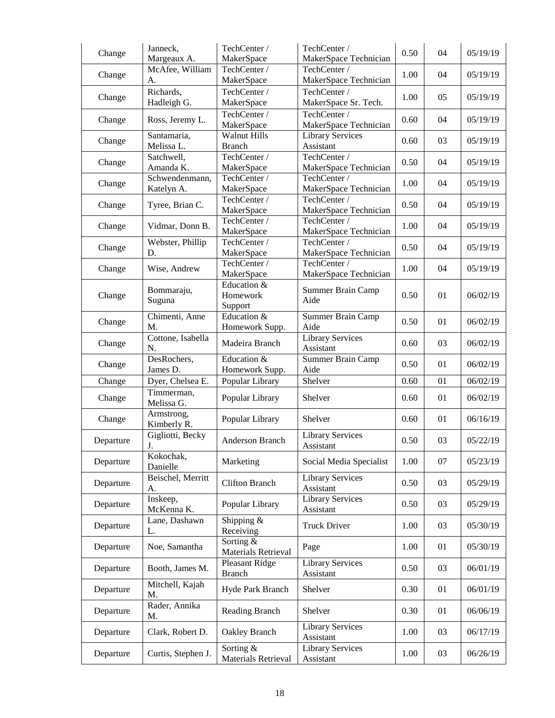| Change    | Janneck,<br>Margeaux A.      | TechCenter /<br>MakerSpace           | TechCenter /<br>MakerSpace Technician | 0.50 | 04 | 05/19/19 |
|-----------|------------------------------|--------------------------------------|---------------------------------------|------|----|----------|
| Change    | McAfee, William<br>А.        | TechCenter /<br>MakerSpace           | TechCenter /<br>MakerSpace Technician | 1.00 | 04 | 05/19/19 |
| Change    | Richards,<br>Hadleigh G.     | TechCenter /<br>MakerSpace           | TechCenter /<br>MakerSpace Sr. Tech.  | 1.00 | 05 | 05/19/19 |
| Change    | Ross, Jeremy L.              | TechCenter /<br>MakerSpace           | TechCenter /<br>MakerSpace Technician | 0.60 | 04 | 05/19/19 |
| Change    | Santamaria,<br>Melissa L.    | <b>Walnut Hills</b><br><b>Branch</b> | <b>Library Services</b><br>Assistant  | 0.60 | 03 | 05/19/19 |
| Change    | Satchwell,<br>Amanda K.      | TechCenter /<br>MakerSpace           | TechCenter /<br>MakerSpace Technician | 0.50 | 04 | 05/19/19 |
| Change    | Schwendenmann,<br>Katelyn A. | TechCenter /<br>MakerSpace           | TechCenter /<br>MakerSpace Technician | 1.00 | 04 | 05/19/19 |
| Change    | Tyree, Brian C.              | TechCenter /<br>MakerSpace           | TechCenter /<br>MakerSpace Technician | 0.50 | 04 | 05/19/19 |
| Change    | Vidmar, Donn B.              | TechCenter /<br>MakerSpace           | TechCenter /<br>MakerSpace Technician | 1.00 | 04 | 05/19/19 |
| Change    | Webster, Phillip<br>D.       | TechCenter /<br>MakerSpace           | TechCenter /<br>MakerSpace Technician | 0.50 | 04 | 05/19/19 |
| Change    | Wise, Andrew                 | TechCenter /<br>MakerSpace           | TechCenter /<br>MakerSpace Technician | 1.00 | 04 | 05/19/19 |
| Change    | Bommaraju,<br>Suguna         | Education &<br>Homework<br>Support   | Summer Brain Camp<br>Aide             | 0.50 | 01 | 06/02/19 |
| Change    | Chimenti, Anne<br>M.         | Education &<br>Homework Supp.        | <b>Summer Brain Camp</b><br>Aide      | 0.50 | 01 | 06/02/19 |
| Change    | Cottone, Isabella<br>N.      | Madeira Branch                       | <b>Library Services</b><br>Assistant  | 0.60 | 03 | 06/02/19 |
| Change    | DesRochers,<br>James D.      | Education &<br>Homework Supp.        | <b>Summer Brain Camp</b><br>Aide      | 0.50 | 01 | 06/02/19 |
| Change    | Dyer, Chelsea E.             | Popular Library                      | Shelver                               | 0.60 | 01 | 06/02/19 |
| Change    | Timmerman,<br>Melissa G.     | Popular Library                      | Shelver                               | 0.60 | 01 | 06/02/19 |
| Change    | Armstrong,<br>Kimberly R.    | Popular Library                      | Shelver                               | 0.60 | 01 | 06/16/19 |
| Departure | Gigliotti, Becky<br>J.       | Anderson Branch                      | <b>Library Services</b><br>Assistant  | 0.50 | 03 | 05/22/19 |
| Departure | Kokochak,<br>Danielle        | Marketing                            | Social Media Specialist               | 1.00 | 07 | 05/23/19 |
| Departure | Beischel, Merritt<br>A.      | <b>Clifton Branch</b>                | <b>Library Services</b><br>Assistant  | 0.50 | 03 | 05/29/19 |
| Departure | Inskeep,<br>McKenna K.       | Popular Library                      | Library Services<br>Assistant         | 0.50 | 03 | 05/29/19 |
| Departure | Lane, Dashawn<br>L.          | Shipping $&$<br>Receiving            | <b>Truck Driver</b>                   | 1.00 | 03 | 05/30/19 |
| Departure | Noe, Samantha                | Sorting &<br>Materials Retrieval     | Page                                  | 1.00 | 01 | 05/30/19 |
| Departure | Booth, James M.              | Pleasant Ridge<br><b>Branch</b>      | Library Services<br>Assistant         | 0.50 | 03 | 06/01/19 |
| Departure | Mitchell, Kajah<br>M.        | Hyde Park Branch                     | Shelver                               | 0.30 | 01 | 06/01/19 |
| Departure | Rader, Annika<br>M.          | Reading Branch                       | Shelver                               | 0.30 | 01 | 06/06/19 |
| Departure | Clark, Robert D.             | Oakley Branch                        | <b>Library Services</b><br>Assistant  | 1.00 | 03 | 06/17/19 |
| Departure | Curtis, Stephen J.           | Sorting &<br>Materials Retrieval     | <b>Library Services</b><br>Assistant  | 1.00 | 03 | 06/26/19 |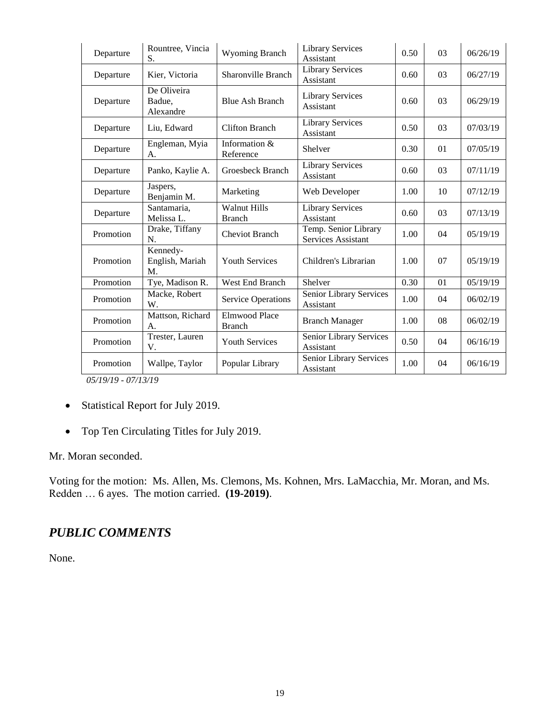| Departure | Rountree, Vincia<br>S.             | Wyoming Branch                       | <b>Library Services</b><br>Assistant       | 0.50 | 03 | 06/26/19 |
|-----------|------------------------------------|--------------------------------------|--------------------------------------------|------|----|----------|
| Departure | Kier, Victoria                     | Sharonville Branch                   | <b>Library Services</b><br>Assistant       | 0.60 | 03 | 06/27/19 |
| Departure | De Oliveira<br>Badue,<br>Alexandre | <b>Blue Ash Branch</b>               | <b>Library Services</b><br>Assistant       | 0.60 | 03 | 06/29/19 |
| Departure | Liu, Edward                        | <b>Clifton Branch</b>                | <b>Library Services</b><br>Assistant       | 0.50 | 03 | 07/03/19 |
| Departure | Engleman, Myia<br>А.               | Information &<br>Reference           | Shelver                                    | 0.30 | 01 | 07/05/19 |
| Departure | Panko, Kaylie A.                   | Groesbeck Branch                     | <b>Library Services</b><br>Assistant       | 0.60 | 03 | 07/11/19 |
| Departure | Jaspers,<br>Benjamin M.            | Marketing                            | Web Developer                              | 1.00 | 10 | 07/12/19 |
| Departure | Santamaria.<br>Melissa L.          | <b>Walnut Hills</b><br><b>Branch</b> | <b>Library Services</b><br>Assistant       | 0.60 | 03 | 07/13/19 |
| Promotion | Drake, Tiffany<br>N.               | <b>Cheviot Branch</b>                | Temp. Senior Library<br>Services Assistant | 1.00 | 04 | 05/19/19 |
| Promotion | Kennedy-<br>English, Mariah<br>M.  | <b>Youth Services</b>                | Children's Librarian                       | 1.00 | 07 | 05/19/19 |
| Promotion | Tye, Madison R.                    | West End Branch                      | Shelver                                    | 0.30 | 01 | 05/19/19 |
| Promotion | Macke, Robert<br>W.                | <b>Service Operations</b>            | Senior Library Services<br>Assistant       | 1.00 | 04 | 06/02/19 |
| Promotion | Mattson, Richard<br>A.             | Elmwood Place<br><b>Branch</b>       | <b>Branch Manager</b>                      | 1.00 | 08 | 06/02/19 |
| Promotion | Trester, Lauren<br>V.              | <b>Youth Services</b>                | Senior Library Services<br>Assistant       | 0.50 | 04 | 06/16/19 |
| Promotion | Wallpe, Taylor                     | Popular Library                      | Senior Library Services<br>Assistant       | 1.00 | 04 | 06/16/19 |

*05/19/19 - 07/13/19*

- Statistical Report for July 2019.
- Top Ten Circulating Titles for July 2019.

Mr. Moran seconded.

Voting for the motion: Ms. Allen, Ms. Clemons, Ms. Kohnen, Mrs. LaMacchia, Mr. Moran, and Ms. Redden … 6 ayes. The motion carried. **(19-2019)**.

# *PUBLIC COMMENTS*

None.